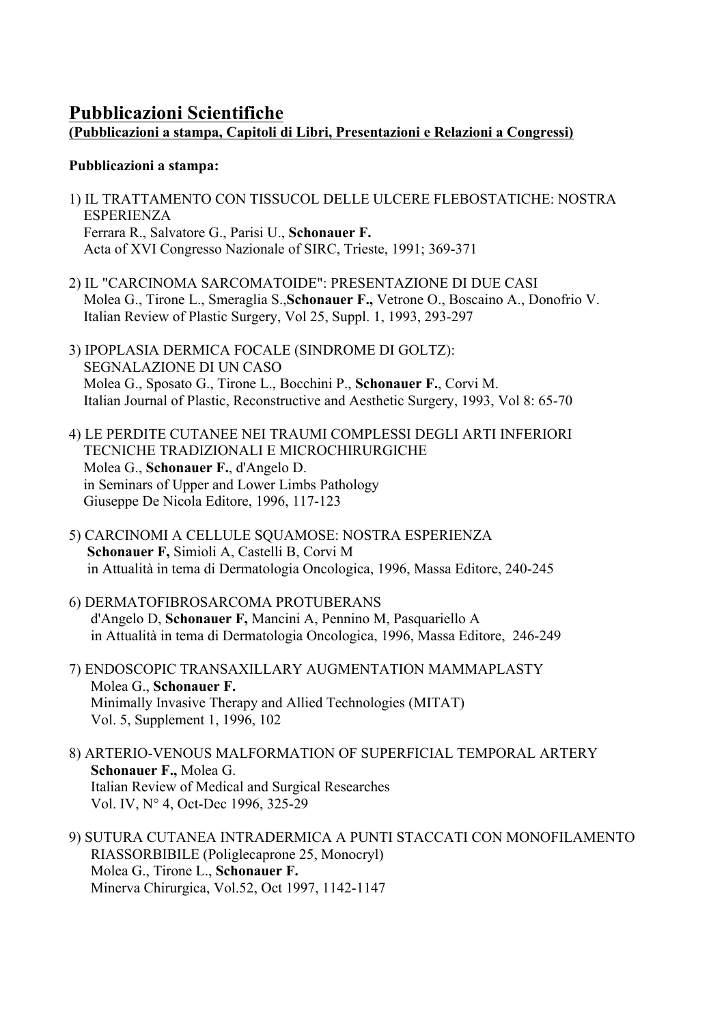# **Pubblicazioni Scientifiche (Pubblicazioni a stampa, Capitoli di Libri, Presentazioni e Relazioni a Congressi)**

## **Pubblicazioni a stampa:**

- 1) IL TRATTAMENTO CON TISSUCOL DELLE ULCERE FLEBOSTATICHE: NOSTRA ESPERIENZA Ferrara R., Salvatore G., Parisi U., **Schonauer F.**  Acta of XVI Congresso Nazionale of SIRC, Trieste, 1991; 369-371
- 2) IL "CARCINOMA SARCOMATOIDE": PRESENTAZIONE DI DUE CASI Molea G., Tirone L., Smeraglia S.,**Schonauer F.,** Vetrone O., Boscaino A., Donofrio V. Italian Review of Plastic Surgery, Vol 25, Suppl. 1, 1993, 293-297
- 3) IPOPLASIA DERMICA FOCALE (SINDROME DI GOLTZ): SEGNALAZIONE DI UN CASO Molea G., Sposato G., Tirone L., Bocchini P., **Schonauer F.**, Corvi M. Italian Journal of Plastic, Reconstructive and Aesthetic Surgery, 1993, Vol 8: 65-70
- 4) LE PERDITE CUTANEE NEI TRAUMI COMPLESSI DEGLI ARTI INFERIORI TECNICHE TRADIZIONALI E MICROCHIRURGICHE Molea G., **Schonauer F.**, d'Angelo D. in Seminars of Upper and Lower Limbs Pathology Giuseppe De Nicola Editore, 1996, 117-123
- 5) CARCINOMI A CELLULE SQUAMOSE: NOSTRA ESPERIENZA **Schonauer F,** Simioli A, Castelli B, Corvi M in Attualità in tema di Dermatologia Oncologica, 1996, Massa Editore, 240-245
- 6) DERMATOFIBROSARCOMA PROTUBERANS d'Angelo D, **Schonauer F,** Mancini A, Pennino M, Pasquariello A in Attualità in tema di Dermatologia Oncologica, 1996, Massa Editore, 246-249
- 7) ENDOSCOPIC TRANSAXILLARY AUGMENTATION MAMMAPLASTY Molea G., **Schonauer F.**  Minimally Invasive Therapy and Allied Technologies (MITAT) Vol. 5, Supplement 1, 1996, 102
- 8) ARTERIO-VENOUS MALFORMATION OF SUPERFICIAL TEMPORAL ARTERY  **Schonauer F.,** Molea G. Italian Review of Medical and Surgical Researches Vol. IV, N° 4, Oct-Dec 1996, 325-29
- 9) SUTURA CUTANEA INTRADERMICA A PUNTI STACCATI CON MONOFILAMENTO RIASSORBIBILE (Poliglecaprone 25, Monocryl) Molea G., Tirone L., **Schonauer F.**  Minerva Chirurgica, Vol.52, Oct 1997, 1142-1147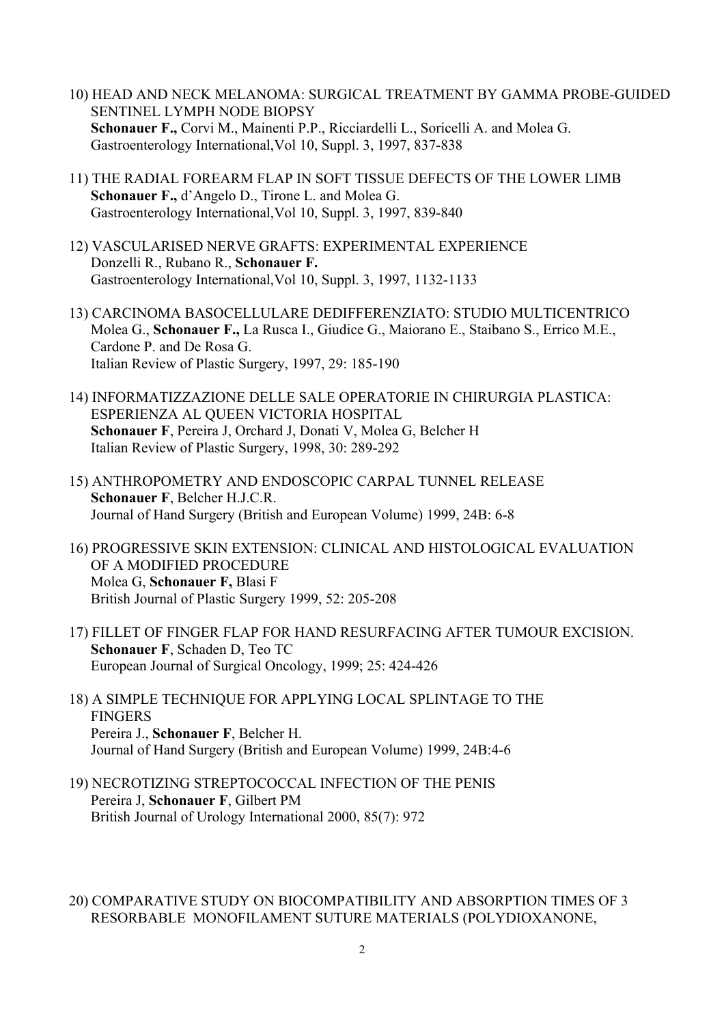- 10) HEAD AND NECK MELANOMA: SURGICAL TREATMENT BY GAMMA PROBE-GUIDED SENTINEL LYMPH NODE BIOPSY  **Schonauer F.,** Corvi M., Mainenti P.P., Ricciardelli L., Soricelli A. and Molea G. Gastroenterology International,Vol 10, Suppl. 3, 1997, 837-838
- 11) THE RADIAL FOREARM FLAP IN SOFT TISSUE DEFECTS OF THE LOWER LIMB  **Schonauer F.,** d'Angelo D., Tirone L. and Molea G. Gastroenterology International,Vol 10, Suppl. 3, 1997, 839-840
- 12) VASCULARISED NERVE GRAFTS: EXPERIMENTAL EXPERIENCE Donzelli R., Rubano R., **Schonauer F.** Gastroenterology International,Vol 10, Suppl. 3, 1997, 1132-1133
- 13) CARCINOMA BASOCELLULARE DEDIFFERENZIATO: STUDIO MULTICENTRICO Molea G., **Schonauer F.,** La Rusca I., Giudice G., Maiorano E., Staibano S., Errico M.E., Cardone P. and De Rosa G. Italian Review of Plastic Surgery, 1997, 29: 185-190
- 14) INFORMATIZZAZIONE DELLE SALE OPERATORIE IN CHIRURGIA PLASTICA: ESPERIENZA AL QUEEN VICTORIA HOSPITAL  **Schonauer F**, Pereira J, Orchard J, Donati V, Molea G, Belcher H Italian Review of Plastic Surgery, 1998, 30: 289-292
- 15) ANTHROPOMETRY AND ENDOSCOPIC CARPAL TUNNEL RELEASE  **Schonauer F**, Belcher H.J.C.R. Journal of Hand Surgery (British and European Volume) 1999, 24B: 6-8
- 16) PROGRESSIVE SKIN EXTENSION: CLINICAL AND HISTOLOGICAL EVALUATION OF A MODIFIED PROCEDURE Molea G, **Schonauer F,** Blasi F British Journal of Plastic Surgery 1999, 52: 205-208
- 17) FILLET OF FINGER FLAP FOR HAND RESURFACING AFTER TUMOUR EXCISION.  **Schonauer F**, Schaden D, Teo TC European Journal of Surgical Oncology, 1999; 25: 424-426
- 18) A SIMPLE TECHNIQUE FOR APPLYING LOCAL SPLINTAGE TO THE FINGERS Pereira J., **Schonauer F**, Belcher H. Journal of Hand Surgery (British and European Volume) 1999, 24B:4-6
- 19) NECROTIZING STREPTOCOCCAL INFECTION OF THE PENIS Pereira J, **Schonauer F**, Gilbert PM British Journal of Urology International 2000, 85(7): 972

### 20) COMPARATIVE STUDY ON BIOCOMPATIBILITY AND ABSORPTION TIMES OF 3 RESORBABLE MONOFILAMENT SUTURE MATERIALS (POLYDIOXANONE,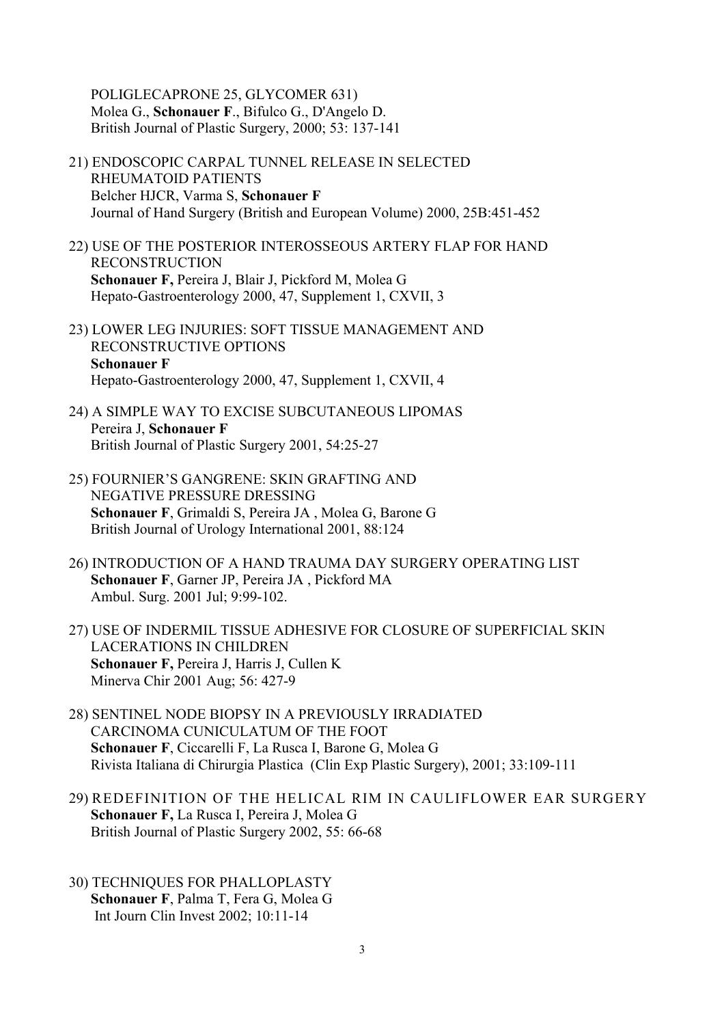POLIGLECAPRONE 25, GLYCOMER 631) Molea G., **Schonauer F**., Bifulco G., D'Angelo D. British Journal of Plastic Surgery, 2000; 53: 137-141

- 21) ENDOSCOPIC CARPAL TUNNEL RELEASE IN SELECTED RHEUMATOID PATIENTS Belcher HJCR, Varma S, **Schonauer F** Journal of Hand Surgery (British and European Volume) 2000, 25B:451-452
- 22) USE OF THE POSTERIOR INTEROSSEOUS ARTERY FLAP FOR HAND RECONSTRUCTION  **Schonauer F,** Pereira J, Blair J, Pickford M, Molea G Hepato-Gastroenterology 2000, 47, Supplement 1, CXVII, 3
- 23) LOWER LEG INJURIES: SOFT TISSUE MANAGEMENT AND RECONSTRUCTIVE OPTIONS  **Schonauer F** Hepato-Gastroenterology 2000, 47, Supplement 1, CXVII, 4
- 24) A SIMPLE WAY TO EXCISE SUBCUTANEOUS LIPOMAS Pereira J, **Schonauer F** British Journal of Plastic Surgery 2001, 54:25-27
- 25) FOURNIER'S GANGRENE: SKIN GRAFTING AND NEGATIVE PRESSURE DRESSING **Schonauer F**, Grimaldi S, Pereira JA , Molea G, Barone G British Journal of Urology International 2001, 88:124
- 26) INTRODUCTION OF A HAND TRAUMA DAY SURGERY OPERATING LIST **Schonauer F**, Garner JP, Pereira JA , Pickford MA Ambul. Surg. 2001 Jul; 9:99-102.
- 27) USE OF INDERMIL TISSUE ADHESIVE FOR CLOSURE OF SUPERFICIAL SKIN LACERATIONS IN CHILDREN **Schonauer F,** Pereira J, Harris J, Cullen K Minerva Chir 2001 Aug; 56: 427-9
- 28) SENTINEL NODE BIOPSY IN A PREVIOUSLY IRRADIATED CARCINOMA CUNICULATUM OF THE FOOT  **Schonauer F**, Ciccarelli F, La Rusca I, Barone G, Molea G Rivista Italiana di Chirurgia Plastica (Clin Exp Plastic Surgery), 2001; 33:109-111
- 29) REDEFINITION OF THE HELICAL RIM IN CAULIFLOWER EAR SURGERY **Schonauer F,** La Rusca I, Pereira J, Molea G British Journal of Plastic Surgery 2002, 55: 66-68
- 30) TECHNIQUES FOR PHALLOPLASTY **Schonauer F**, Palma T, Fera G, Molea G Int Journ Clin Invest 2002; 10:11-14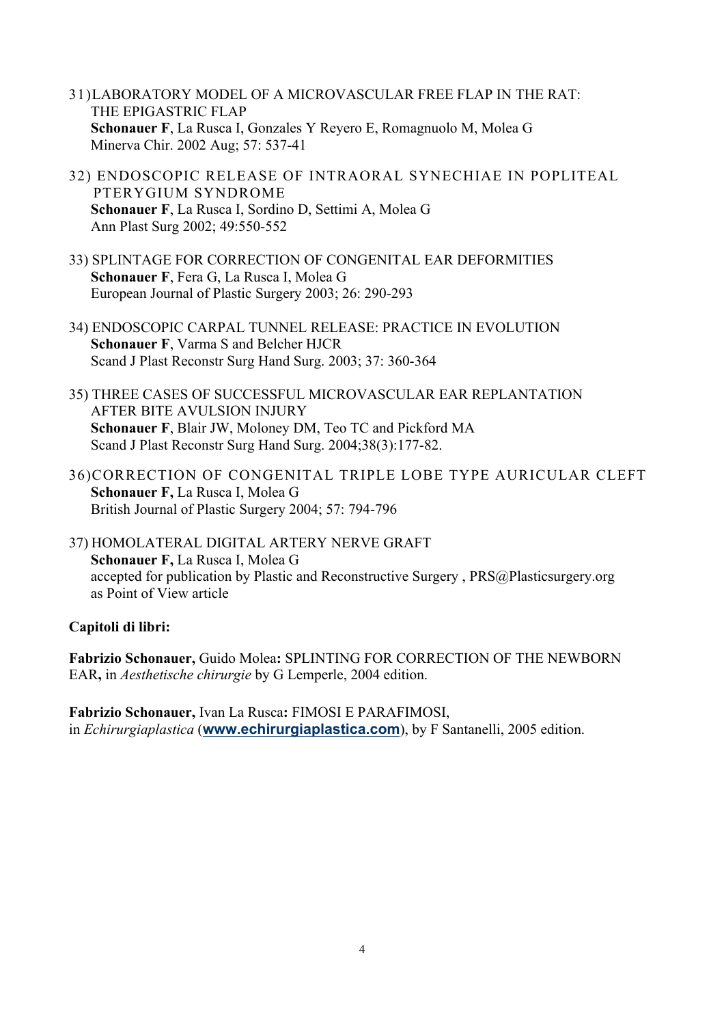- 31)LABORATORY MODEL OF A MICROVASCULAR FREE FLAP IN THE RAT: THE EPIGASTRIC FLAP **Schonauer F**, La Rusca I, Gonzales Y Reyero E, Romagnuolo M, Molea G Minerva Chir. 2002 Aug; 57: 537-41
- 32) ENDOSCOPIC RELEASE OF INTRAORAL SYNECHIAE IN POPLITEAL PTERYGIUM SYNDROME **Schonauer F**, La Rusca I, Sordino D, Settimi A, Molea G Ann Plast Surg 2002; 49:550-552
- 33) SPLINTAGE FOR CORRECTION OF CONGENITAL EAR DEFORMITIES  **Schonauer F**, Fera G, La Rusca I, Molea G European Journal of Plastic Surgery 2003; 26: 290-293
- 34) ENDOSCOPIC CARPAL TUNNEL RELEASE: PRACTICE IN EVOLUTION  **Schonauer F**, Varma S and Belcher HJCR Scand J Plast Reconstr Surg Hand Surg. 2003; 37: 360-364
- 35) THREE CASES OF SUCCESSFUL MICROVASCULAR EAR REPLANTATION AFTER BITE AVULSION INJURY  **Schonauer F**, Blair JW, Moloney DM, Teo TC and Pickford MA Scand J Plast Reconstr Surg Hand Surg. 2004;38(3):177-82.
- 36)CORRECTION OF CONGENITAL TRIPLE LOBE TYPE AURICULAR CLEFT **Schonauer F,** La Rusca I, Molea G British Journal of Plastic Surgery 2004; 57: 794-796
- 37) HOMOLATERAL DIGITAL ARTERY NERVE GRAFT **Schonauer F,** La Rusca I, Molea G accepted for publication by Plastic and Reconstructive Surgery , PRS@Plasticsurgery.org as Point of View article

### **Capitoli di libri:**

**Fabrizio Schonauer,** Guido Molea**:** SPLINTING FOR CORRECTION OF THE NEWBORN EAR**,** in *Aesthetische chirurgie* by G Lemperle, 2004 edition.

**Fabrizio Schonauer,** Ivan La Rusca**:** FIMOSI E PARAFIMOSI, in *Echirurgiaplastica* (**www.echirurgiaplastica.com**), by F Santanelli, 2005 edition.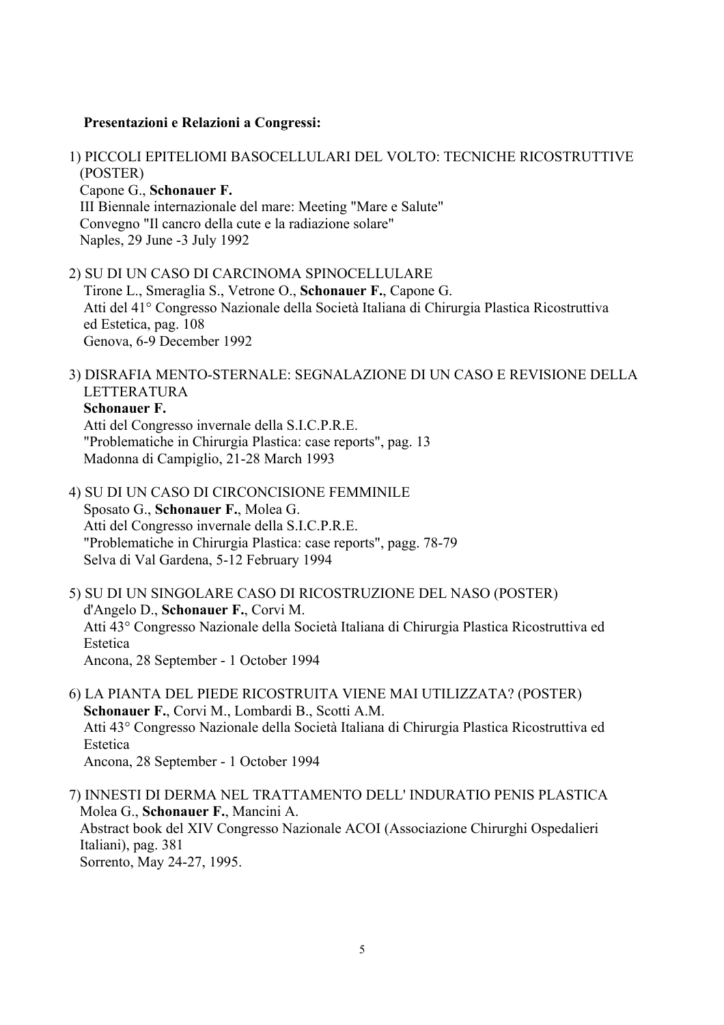#### **Presentazioni e Relazioni a Congressi:**

1) PICCOLI EPITELIOMI BASOCELLULARI DEL VOLTO: TECNICHE RICOSTRUTTIVE (POSTER) Capone G., **Schonauer F.**  III Biennale internazionale del mare: Meeting "Mare e Salute" Convegno "Il cancro della cute e la radiazione solare" Naples, 29 June -3 July 1992

2) SU DI UN CASO DI CARCINOMA SPINOCELLULARE Tirone L., Smeraglia S., Vetrone O., **Schonauer F.**, Capone G. Atti del 41° Congresso Nazionale della Società Italiana di Chirurgia Plastica Ricostruttiva ed Estetica, pag. 108 Genova, 6-9 December 1992

3) DISRAFIA MENTO-STERNALE: SEGNALAZIONE DI UN CASO E REVISIONE DELLA LETTERATURA  **Schonauer F.**

 Atti del Congresso invernale della S.I.C.P.R.E. "Problematiche in Chirurgia Plastica: case reports", pag. 13 Madonna di Campiglio, 21-28 March 1993

4) SU DI UN CASO DI CIRCONCISIONE FEMMINILE Sposato G., **Schonauer F.**, Molea G. Atti del Congresso invernale della S.I.C.P.R.E. "Problematiche in Chirurgia Plastica: case reports", pagg. 78-79 Selva di Val Gardena, 5-12 February 1994

5) SU DI UN SINGOLARE CASO DI RICOSTRUZIONE DEL NASO (POSTER) d'Angelo D., **Schonauer F.**, Corvi M. Atti 43° Congresso Nazionale della Società Italiana di Chirurgia Plastica Ricostruttiva ed Estetica Ancona, 28 September - 1 October 1994

6) LA PIANTA DEL PIEDE RICOSTRUITA VIENE MAI UTILIZZATA? (POSTER)  **Schonauer F.**, Corvi M., Lombardi B., Scotti A.M. Atti 43° Congresso Nazionale della Società Italiana di Chirurgia Plastica Ricostruttiva ed Estetica Ancona, 28 September - 1 October 1994

7) INNESTI DI DERMA NEL TRATTAMENTO DELL' INDURATIO PENIS PLASTICA Molea G., **Schonauer F.**, Mancini A. Abstract book del XIV Congresso Nazionale ACOI (Associazione Chirurghi Ospedalieri Italiani), pag. 381 Sorrento, May 24-27, 1995.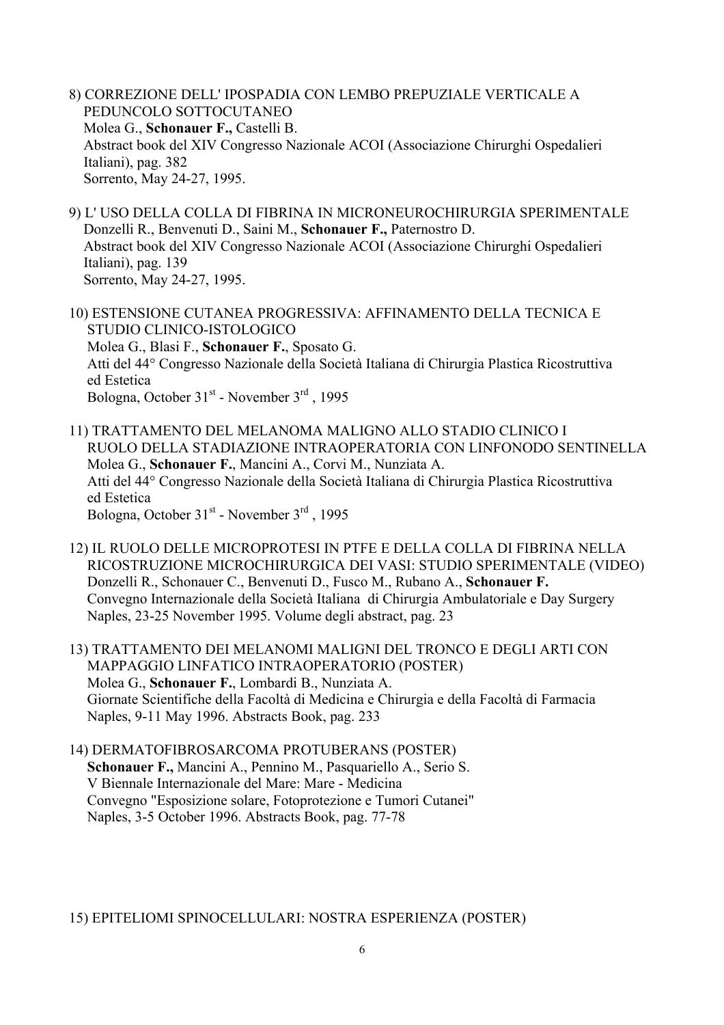- 8) CORREZIONE DELL' IPOSPADIA CON LEMBO PREPUZIALE VERTICALE A PEDUNCOLO SOTTOCUTANEO Molea G., **Schonauer F.,** Castelli B. Abstract book del XIV Congresso Nazionale ACOI (Associazione Chirurghi Ospedalieri Italiani), pag. 382 Sorrento, May 24-27, 1995.
- 9) L' USO DELLA COLLA DI FIBRINA IN MICRONEUROCHIRURGIA SPERIMENTALE Donzelli R., Benvenuti D., Saini M., **Schonauer F.,** Paternostro D. Abstract book del XIV Congresso Nazionale ACOI (Associazione Chirurghi Ospedalieri Italiani), pag. 139 Sorrento, May 24-27, 1995.
- 10) ESTENSIONE CUTANEA PROGRESSIVA: AFFINAMENTO DELLA TECNICA E STUDIO CLINICO-ISTOLOGICO Molea G., Blasi F., **Schonauer F.**, Sposato G. Atti del 44° Congresso Nazionale della Società Italiana di Chirurgia Plastica Ricostruttiva ed Estetica Bologna, October 31<sup>st</sup> - November 3<sup>rd</sup>, 1995
- 11) TRATTAMENTO DEL MELANOMA MALIGNO ALLO STADIO CLINICO I RUOLO DELLA STADIAZIONE INTRAOPERATORIA CON LINFONODO SENTINELLA Molea G., **Schonauer F.**, Mancini A., Corvi M., Nunziata A. Atti del 44° Congresso Nazionale della Società Italiana di Chirurgia Plastica Ricostruttiva ed Estetica Bologna, October 31<sup>st</sup> - November 3<sup>rd</sup> , 1995
- 12) IL RUOLO DELLE MICROPROTESI IN PTFE E DELLA COLLA DI FIBRINA NELLA RICOSTRUZIONE MICROCHIRURGICA DEI VASI: STUDIO SPERIMENTALE (VIDEO) Donzelli R., Schonauer C., Benvenuti D., Fusco M., Rubano A., **Schonauer F.** Convegno Internazionale della Società Italiana di Chirurgia Ambulatoriale e Day Surgery Naples, 23-25 November 1995. Volume degli abstract, pag. 23
- 13) TRATTAMENTO DEI MELANOMI MALIGNI DEL TRONCO E DEGLI ARTI CON MAPPAGGIO LINFATICO INTRAOPERATORIO (POSTER) Molea G., **Schonauer F.**, Lombardi B., Nunziata A. Giornate Scientifiche della Facoltà di Medicina e Chirurgia e della Facoltà di Farmacia Naples, 9-11 May 1996. Abstracts Book, pag. 233
- 14) DERMATOFIBROSARCOMA PROTUBERANS (POSTER)  **Schonauer F.,** Mancini A., Pennino M., Pasquariello A., Serio S. V Biennale Internazionale del Mare: Mare - Medicina Convegno "Esposizione solare, Fotoprotezione e Tumori Cutanei" Naples, 3-5 October 1996. Abstracts Book, pag. 77-78

15) EPITELIOMI SPINOCELLULARI: NOSTRA ESPERIENZA (POSTER)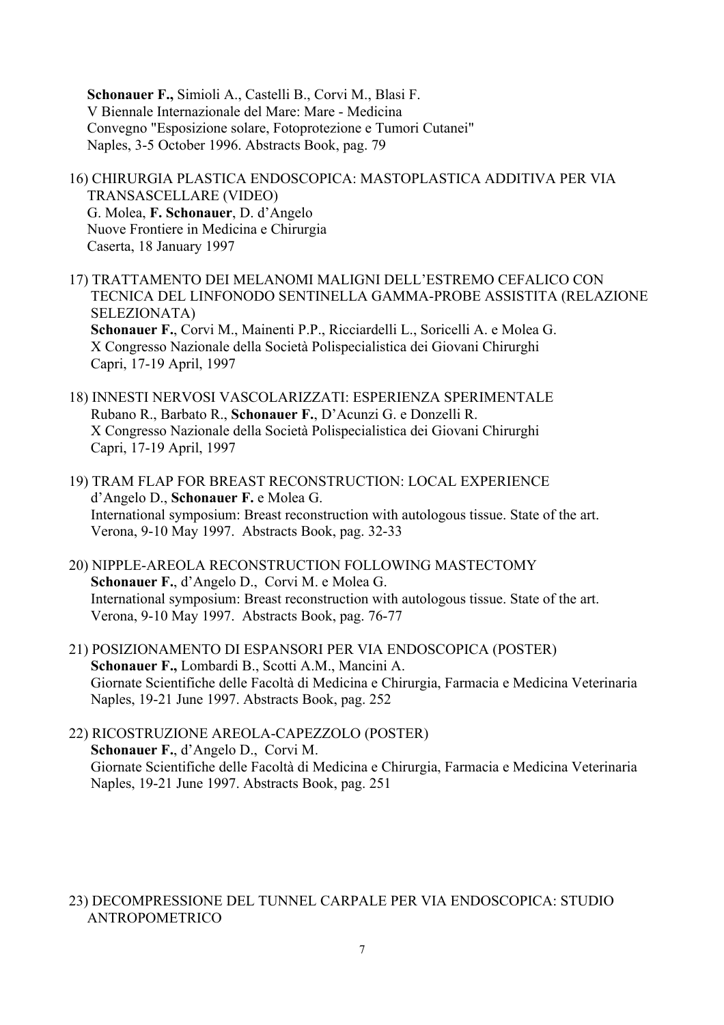**Schonauer F.,** Simioli A., Castelli B., Corvi M., Blasi F. V Biennale Internazionale del Mare: Mare - Medicina Convegno "Esposizione solare, Fotoprotezione e Tumori Cutanei" Naples, 3-5 October 1996. Abstracts Book, pag. 79

16) CHIRURGIA PLASTICA ENDOSCOPICA: MASTOPLASTICA ADDITIVA PER VIA TRANSASCELLARE (VIDEO) G. Molea, **F. Schonauer**, D. d'Angelo Nuove Frontiere in Medicina e Chirurgia Caserta, 18 January 1997

17) TRATTAMENTO DEI MELANOMI MALIGNI DELL'ESTREMO CEFALICO CON TECNICA DEL LINFONODO SENTINELLA GAMMA-PROBE ASSISTITA (RELAZIONE SELEZIONATA) **Schonauer F.**, Corvi M., Mainenti P.P., Ricciardelli L., Soricelli A. e Molea G. X Congresso Nazionale della Società Polispecialistica dei Giovani Chirurghi Capri, 17-19 April, 1997

- 18) INNESTI NERVOSI VASCOLARIZZATI: ESPERIENZA SPERIMENTALE Rubano R., Barbato R., **Schonauer F.**, D'Acunzi G. e Donzelli R. X Congresso Nazionale della Società Polispecialistica dei Giovani Chirurghi Capri, 17-19 April, 1997
- 19) TRAM FLAP FOR BREAST RECONSTRUCTION: LOCAL EXPERIENCE d'Angelo D., **Schonauer F.** e Molea G. International symposium: Breast reconstruction with autologous tissue. State of the art. Verona, 9-10 May 1997. Abstracts Book, pag. 32-33
- 20) NIPPLE-AREOLA RECONSTRUCTION FOLLOWING MASTECTOMY **Schonauer F.**, d'Angelo D., Corvi M. e Molea G. International symposium: Breast reconstruction with autologous tissue. State of the art. Verona, 9-10 May 1997. Abstracts Book, pag. 76-77
- 21) POSIZIONAMENTO DI ESPANSORI PER VIA ENDOSCOPICA (POSTER)  **Schonauer F.,** Lombardi B., Scotti A.M., Mancini A. Giornate Scientifiche delle Facoltà di Medicina e Chirurgia, Farmacia e Medicina Veterinaria Naples, 19-21 June 1997. Abstracts Book, pag. 252
- 22) RICOSTRUZIONE AREOLA-CAPEZZOLO (POSTER)  **Schonauer F.**, d'Angelo D., Corvi M. Giornate Scientifiche delle Facoltà di Medicina e Chirurgia, Farmacia e Medicina Veterinaria Naples, 19-21 June 1997. Abstracts Book, pag. 251

### 23) DECOMPRESSIONE DEL TUNNEL CARPALE PER VIA ENDOSCOPICA: STUDIO ANTROPOMETRICO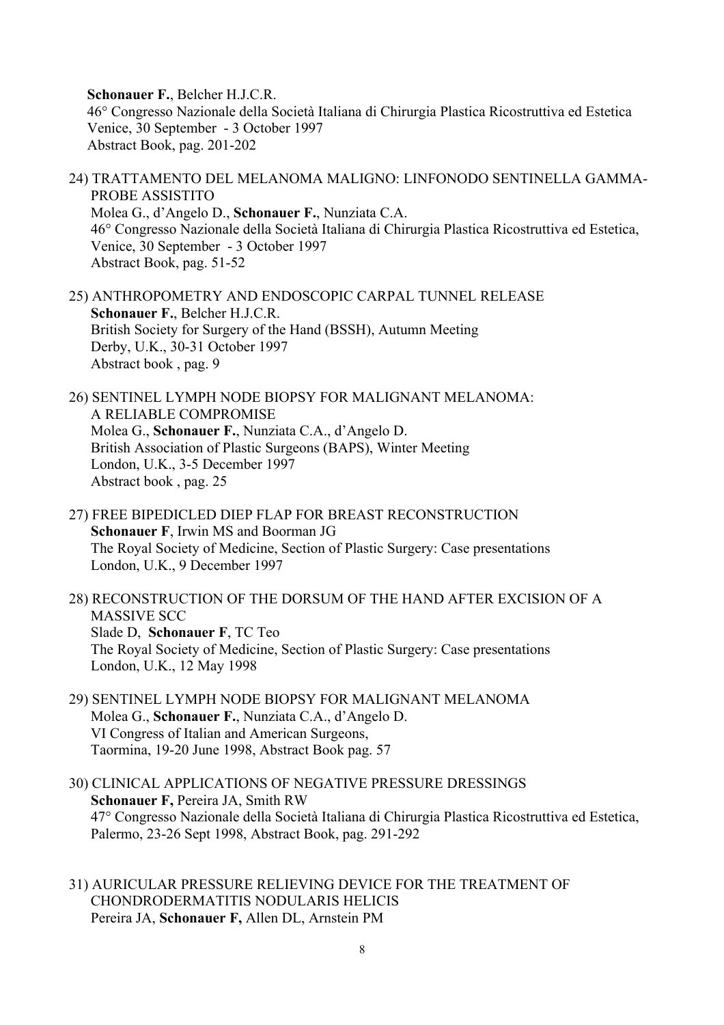**Schonauer F.**, Belcher H.J.C.R. 46° Congresso Nazionale della Società Italiana di Chirurgia Plastica Ricostruttiva ed Estetica Venice, 30 September - 3 October 1997 Abstract Book, pag. 201-202

- 24) TRATTAMENTO DEL MELANOMA MALIGNO: LINFONODO SENTINELLA GAMMA- PROBE ASSISTITO Molea G., d'Angelo D., **Schonauer F.**, Nunziata C.A. 46° Congresso Nazionale della Società Italiana di Chirurgia Plastica Ricostruttiva ed Estetica, Venice, 30 September - 3 October 1997 Abstract Book, pag. 51-52
- 25) ANTHROPOMETRY AND ENDOSCOPIC CARPAL TUNNEL RELEASE  **Schonauer F.**, Belcher H.J.C.R. British Society for Surgery of the Hand (BSSH), Autumn Meeting Derby, U.K., 30-31 October 1997 Abstract book , pag. 9
- 26) SENTINEL LYMPH NODE BIOPSY FOR MALIGNANT MELANOMA: A RELIABLE COMPROMISE Molea G., **Schonauer F.**, Nunziata C.A., d'Angelo D. British Association of Plastic Surgeons (BAPS), Winter Meeting London, U.K., 3-5 December 1997 Abstract book , pag. 25
- 27) FREE BIPEDICLED DIEP FLAP FOR BREAST RECONSTRUCTION  **Schonauer F**, Irwin MS and Boorman JG The Royal Society of Medicine, Section of Plastic Surgery: Case presentations London, U.K., 9 December 1997
- 28) RECONSTRUCTION OF THE DORSUM OF THE HAND AFTER EXCISION OF A MASSIVE SCC Slade D, **Schonauer F**, TC Teo The Royal Society of Medicine, Section of Plastic Surgery: Case presentations London, U.K., 12 May 1998
- 29) SENTINEL LYMPH NODE BIOPSY FOR MALIGNANT MELANOMA Molea G., **Schonauer F.**, Nunziata C.A., d'Angelo D. VI Congress of Italian and American Surgeons, Taormina, 19-20 June 1998, Abstract Book pag. 57
- 30) CLINICAL APPLICATIONS OF NEGATIVE PRESSURE DRESSINGS **Schonauer F,** Pereira JA, Smith RW 47° Congresso Nazionale della Società Italiana di Chirurgia Plastica Ricostruttiva ed Estetica, Palermo, 23-26 Sept 1998, Abstract Book, pag. 291-292
- 31) AURICULAR PRESSURE RELIEVING DEVICE FOR THE TREATMENT OF CHONDRODERMATITIS NODULARIS HELICIS Pereira JA, **Schonauer F,** Allen DL, Arnstein PM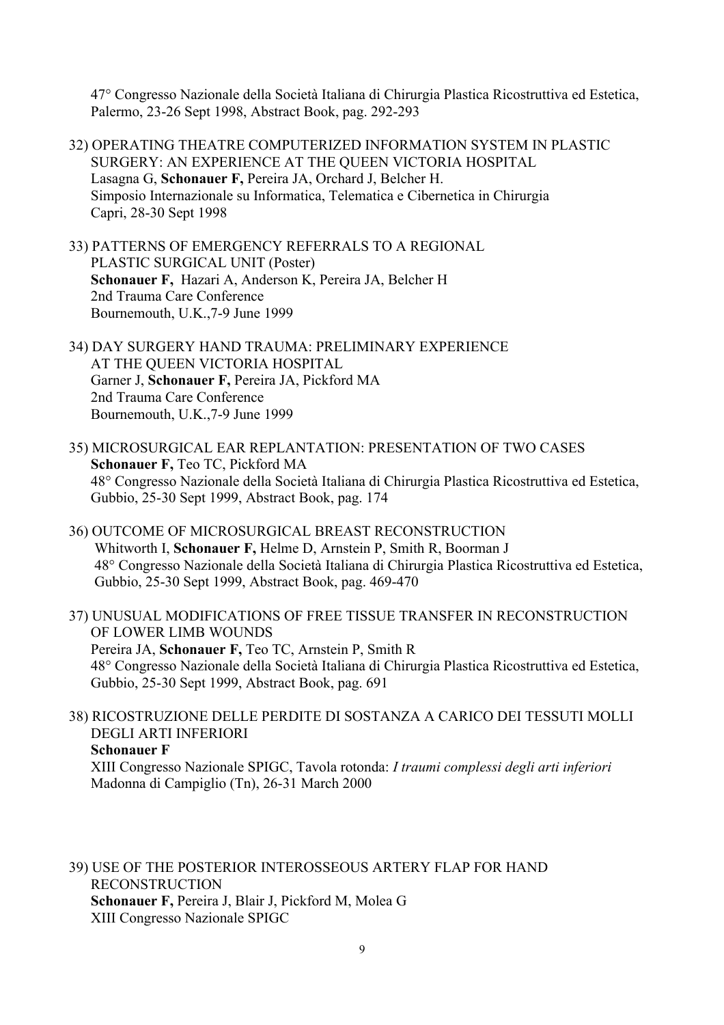47° Congresso Nazionale della Società Italiana di Chirurgia Plastica Ricostruttiva ed Estetica, Palermo, 23-26 Sept 1998, Abstract Book, pag. 292-293

- 32) OPERATING THEATRE COMPUTERIZED INFORMATION SYSTEM IN PLASTIC SURGERY: AN EXPERIENCE AT THE QUEEN VICTORIA HOSPITAL Lasagna G, **Schonauer F,** Pereira JA, Orchard J, Belcher H. Simposio Internazionale su Informatica, Telematica e Cibernetica in Chirurgia Capri, 28-30 Sept 1998
- 33) PATTERNS OF EMERGENCY REFERRALS TO A REGIONAL PLASTIC SURGICAL UNIT (Poster) **Schonauer F,** Hazari A, Anderson K, Pereira JA, Belcher H 2nd Trauma Care Conference Bournemouth, U.K.,7-9 June 1999
- 34) DAY SURGERY HAND TRAUMA: PRELIMINARY EXPERIENCE AT THE QUEEN VICTORIA HOSPITAL Garner J, **Schonauer F,** Pereira JA, Pickford MA 2nd Trauma Care Conference Bournemouth, U.K.,7-9 June 1999
- 35) MICROSURGICAL EAR REPLANTATION: PRESENTATION OF TWO CASES **Schonauer F,** Teo TC, Pickford MA 48° Congresso Nazionale della Società Italiana di Chirurgia Plastica Ricostruttiva ed Estetica, Gubbio, 25-30 Sept 1999, Abstract Book, pag. 174
- 36) OUTCOME OF MICROSURGICAL BREAST RECONSTRUCTION Whitworth I, **Schonauer F,** Helme D, Arnstein P, Smith R, Boorman J 48° Congresso Nazionale della Società Italiana di Chirurgia Plastica Ricostruttiva ed Estetica, Gubbio, 25-30 Sept 1999, Abstract Book, pag. 469-470
- 37) UNUSUAL MODIFICATIONS OF FREE TISSUE TRANSFER IN RECONSTRUCTION OF LOWER LIMB WOUNDS Pereira JA, **Schonauer F,** Teo TC, Arnstein P, Smith R 48° Congresso Nazionale della Società Italiana di Chirurgia Plastica Ricostruttiva ed Estetica, Gubbio, 25-30 Sept 1999, Abstract Book, pag. 691
- 38) RICOSTRUZIONE DELLE PERDITE DI SOSTANZA A CARICO DEI TESSUTI MOLLI DEGLI ARTI INFERIORI  **Schonauer F**  XIII Congresso Nazionale SPIGC, Tavola rotonda: *I traumi complessi degli arti inferiori* Madonna di Campiglio (Tn), 26-31 March 2000

39) USE OF THE POSTERIOR INTEROSSEOUS ARTERY FLAP FOR HAND RECONSTRUCTION  **Schonauer F,** Pereira J, Blair J, Pickford M, Molea G XIII Congresso Nazionale SPIGC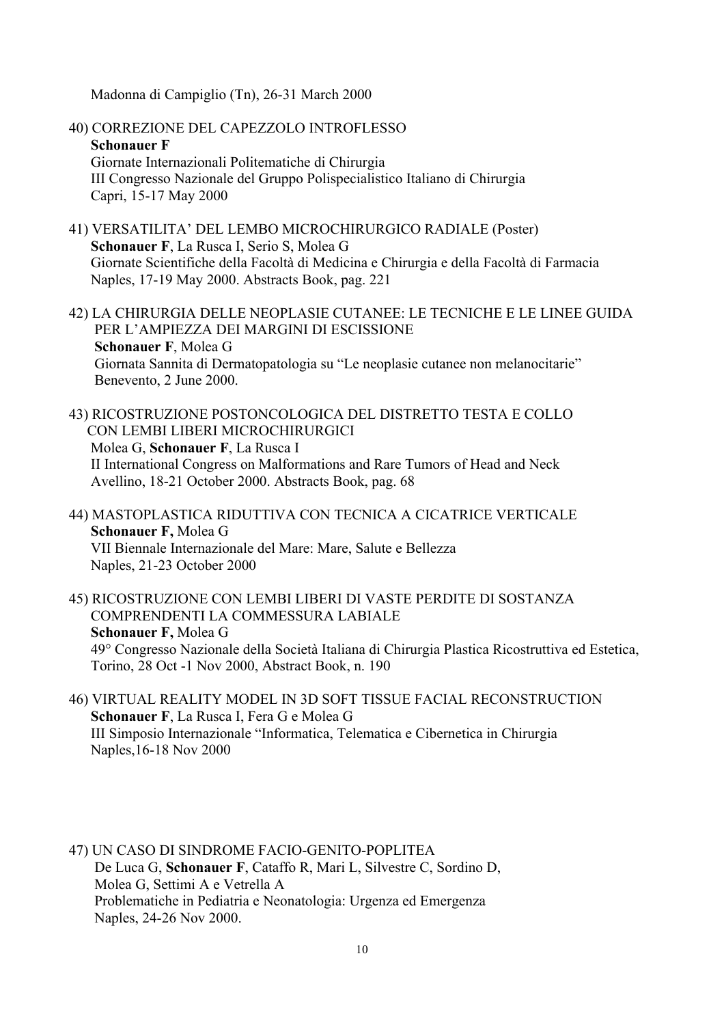Madonna di Campiglio (Tn), 26-31 March 2000

- 40) CORREZIONE DEL CAPEZZOLO INTROFLESSO **Schonauer F**  Giornate Internazionali Politematiche di Chirurgia III Congresso Nazionale del Gruppo Polispecialistico Italiano di Chirurgia Capri, 15-17 May 2000
- 41) VERSATILITA' DEL LEMBO MICROCHIRURGICO RADIALE (Poster) **Schonauer F**, La Rusca I, Serio S, Molea G Giornate Scientifiche della Facoltà di Medicina e Chirurgia e della Facoltà di Farmacia Naples, 17-19 May 2000. Abstracts Book, pag. 221
- 42) LA CHIRURGIA DELLE NEOPLASIE CUTANEE: LE TECNICHE E LE LINEE GUIDA PER L'AMPIEZZA DEI MARGINI DI ESCISSIONE **Schonauer F**, Molea G Giornata Sannita di Dermatopatologia su "Le neoplasie cutanee non melanocitarie" Benevento, 2 June 2000.
- 43) RICOSTRUZIONE POSTONCOLOGICA DEL DISTRETTO TESTA E COLLO CON LEMBI LIBERI MICROCHIRURGICI Molea G, **Schonauer F**, La Rusca I II International Congress on Malformations and Rare Tumors of Head and Neck Avellino, 18-21 October 2000. Abstracts Book, pag. 68
- 44) MASTOPLASTICA RIDUTTIVA CON TECNICA A CICATRICE VERTICALE **Schonauer F,** Molea G VII Biennale Internazionale del Mare: Mare, Salute e Bellezza Naples, 21-23 October 2000
- 45) RICOSTRUZIONE CON LEMBI LIBERI DI VASTE PERDITE DI SOSTANZA COMPRENDENTI LA COMMESSURA LABIALE **Schonauer F,** Molea G 49° Congresso Nazionale della Società Italiana di Chirurgia Plastica Ricostruttiva ed Estetica, Torino, 28 Oct -1 Nov 2000, Abstract Book, n. 190
- 46) VIRTUAL REALITY MODEL IN 3D SOFT TISSUE FACIAL RECONSTRUCTION **Schonauer F**, La Rusca I, Fera G e Molea G III Simposio Internazionale "Informatica, Telematica e Cibernetica in Chirurgia Naples,16-18 Nov 2000
- 47) UN CASO DI SINDROME FACIO-GENITO-POPLITEA De Luca G, **Schonauer F**, Cataffo R, Mari L, Silvestre C, Sordino D, Molea G, Settimi A e Vetrella A Problematiche in Pediatria e Neonatologia: Urgenza ed Emergenza Naples, 24-26 Nov 2000.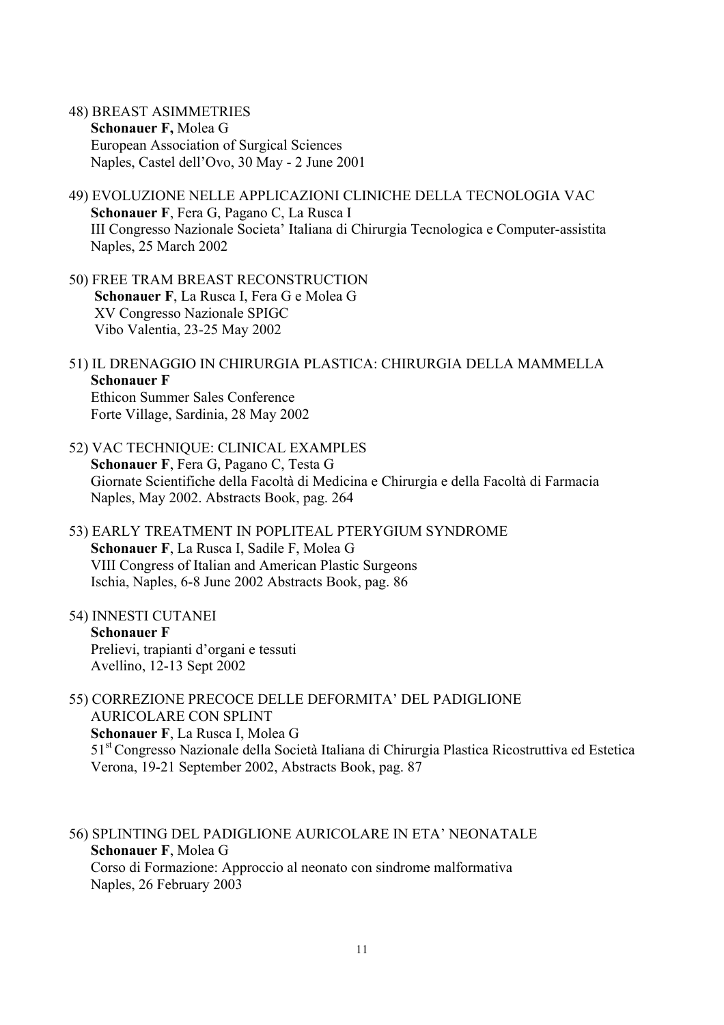- 48) BREAST ASIMMETRIES **Schonauer F,** Molea G European Association of Surgical Sciences Naples, Castel dell'Ovo, 30 May - 2 June 2001
- 49) EVOLUZIONE NELLE APPLICAZIONI CLINICHE DELLA TECNOLOGIA VAC **Schonauer F**, Fera G, Pagano C, La Rusca I III Congresso Nazionale Societa' Italiana di Chirurgia Tecnologica e Computer-assistita Naples, 25 March 2002
- 50) FREE TRAM BREAST RECONSTRUCTION **Schonauer F**, La Rusca I, Fera G e Molea G XV Congresso Nazionale SPIGC Vibo Valentia, 23-25 May 2002
- 51) IL DRENAGGIO IN CHIRURGIA PLASTICA: CHIRURGIA DELLA MAMMELLA **Schonauer F** Ethicon Summer Sales Conference Forte Village, Sardinia, 28 May 2002
- 52) VAC TECHNIQUE: CLINICAL EXAMPLES **Schonauer F**, Fera G, Pagano C, Testa G Giornate Scientifiche della Facoltà di Medicina e Chirurgia e della Facoltà di Farmacia Naples, May 2002. Abstracts Book, pag. 264
- 53) EARLY TREATMENT IN POPLITEAL PTERYGIUM SYNDROME **Schonauer F**, La Rusca I, Sadile F, Molea G VIII Congress of Italian and American Plastic Surgeons Ischia, Naples, 6-8 June 2002 Abstracts Book, pag. 86
- 54) INNESTI CUTANEI **Schonauer F** Prelievi, trapianti d'organi e tessuti Avellino, 12-13 Sept 2002
- 55) CORREZIONE PRECOCE DELLE DEFORMITA' DEL PADIGLIONE AURICOLARE CON SPLINT **Schonauer F**, La Rusca I, Molea G 51st Congresso Nazionale della Società Italiana di Chirurgia Plastica Ricostruttiva ed Estetica Verona, 19-21 September 2002, Abstracts Book, pag. 87
- 56) SPLINTING DEL PADIGLIONE AURICOLARE IN ETA' NEONATALE **Schonauer F**, Molea G Corso di Formazione: Approccio al neonato con sindrome malformativa Naples, 26 February 2003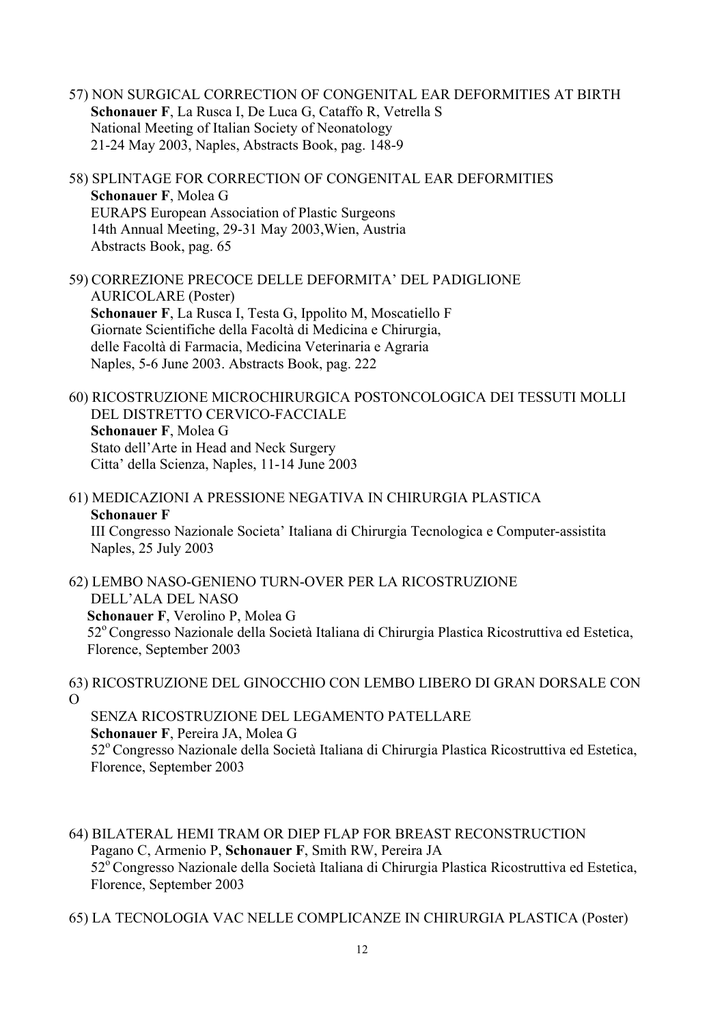- 57) NON SURGICAL CORRECTION OF CONGENITAL EAR DEFORMITIES AT BIRTH  **Schonauer F**, La Rusca I, De Luca G, Cataffo R, Vetrella S National Meeting of Italian Society of Neonatology 21-24 May 2003, Naples, Abstracts Book, pag. 148-9
- 58) SPLINTAGE FOR CORRECTION OF CONGENITAL EAR DEFORMITIES  **Schonauer F**, Molea G EURAPS European Association of Plastic Surgeons 14th Annual Meeting, 29-31 May 2003,Wien, Austria Abstracts Book, pag. 65

59) CORREZIONE PRECOCE DELLE DEFORMITA' DEL PADIGLIONE AURICOLARE (Poster) **Schonauer F**, La Rusca I, Testa G, Ippolito M, Moscatiello F Giornate Scientifiche della Facoltà di Medicina e Chirurgia, delle Facoltà di Farmacia, Medicina Veterinaria e Agraria Naples, 5-6 June 2003. Abstracts Book, pag. 222

60) RICOSTRUZIONE MICROCHIRURGICA POSTONCOLOGICA DEI TESSUTI MOLLI DEL DISTRETTO CERVICO-FACCIALE  **Schonauer F**, Molea G Stato dell'Arte in Head and Neck Surgery Citta' della Scienza, Naples, 11-14 June 2003

61) MEDICAZIONI A PRESSIONE NEGATIVA IN CHIRURGIA PLASTICA **Schonauer F** III Congresso Nazionale Societa' Italiana di Chirurgia Tecnologica e Computer-assistita Naples, 25 July 2003

62) LEMBO NASO-GENIENO TURN-OVER PER LA RICOSTRUZIONE DELL'ALA DEL NASO  **Schonauer F**, Verolino P, Molea G 52º Congresso Nazionale della Società Italiana di Chirurgia Plastica Ricostruttiva ed Estetica, Florence, September 2003

63) RICOSTRUZIONE DEL GINOCCHIO CON LEMBO LIBERO DI GRAN DORSALE CON O

 SENZA RICOSTRUZIONE DEL LEGAMENTO PATELLARE **Schonauer F**, Pereira JA, Molea G 52º Congresso Nazionale della Società Italiana di Chirurgia Plastica Ricostruttiva ed Estetica, Florence, September 2003

64) BILATERAL HEMI TRAM OR DIEP FLAP FOR BREAST RECONSTRUCTION Pagano C, Armenio P, **Schonauer F**, Smith RW, Pereira JA 52<sup>°</sup> Congresso Nazionale della Società Italiana di Chirurgia Plastica Ricostruttiva ed Estetica, Florence, September 2003

65) LA TECNOLOGIA VAC NELLE COMPLICANZE IN CHIRURGIA PLASTICA (Poster)